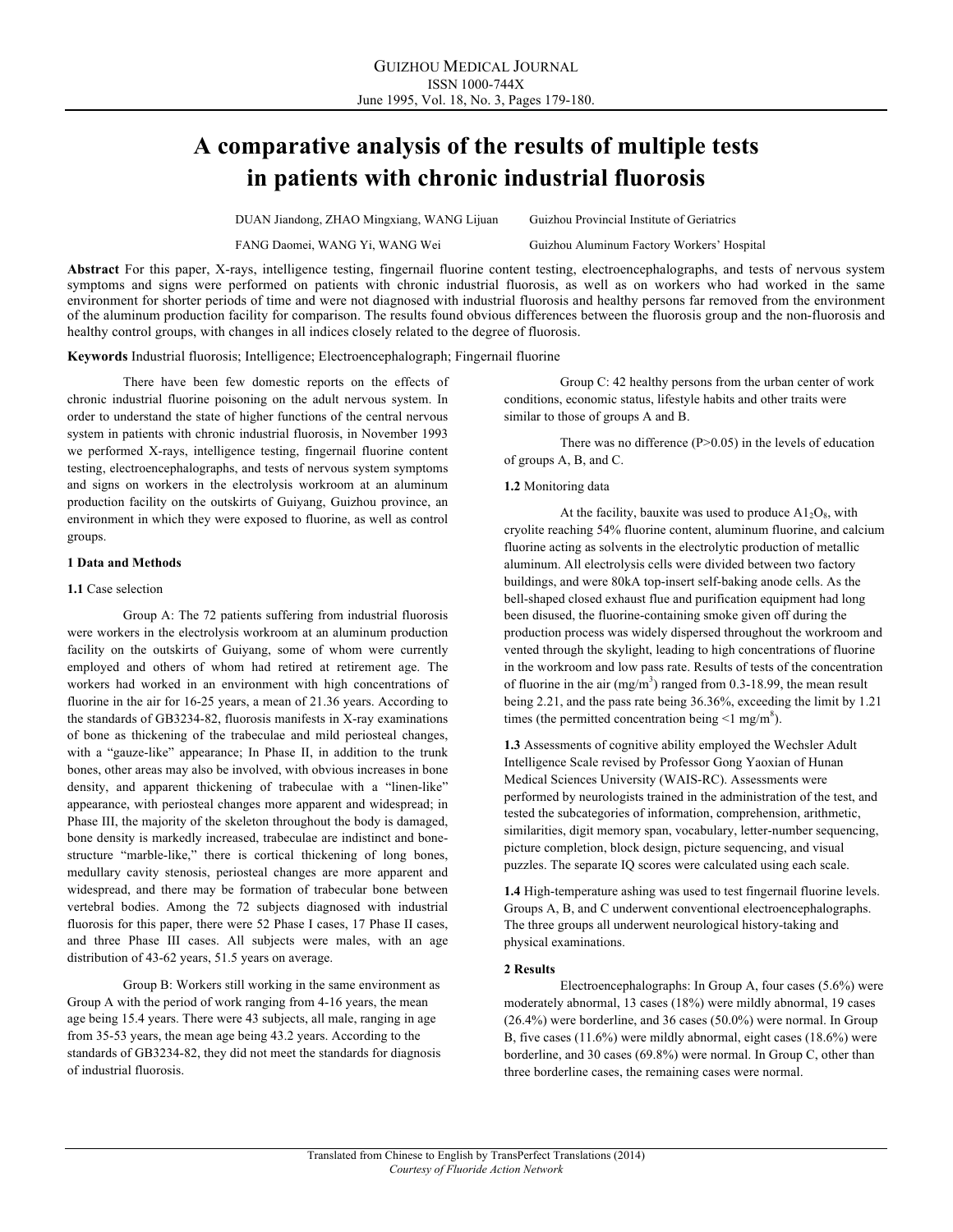# **A comparative analysis of the results of multiple tests in patients with chronic industrial fluorosis**

DUAN Jiandong, ZHAO Mingxiang, WANG Lijuan Guizhou Provincial Institute of Geriatrics

FANG Daomei, WANG Yi, WANG Wei Guizhou Aluminum Factory Workers' Hospital

**Abstract** For this paper, X-rays, intelligence testing, fingernail fluorine content testing, electroencephalographs, and tests of nervous system symptoms and signs were performed on patients with chronic industrial fluorosis, as well as on workers who had worked in the same environment for shorter periods of time and were not diagnosed with industrial fluorosis and healthy persons far removed from the environment of the aluminum production facility for comparison. The results found obvious differences between the fluorosis group and the non-fluorosis and healthy control groups, with changes in all indices closely related to the degree of fluorosis.

**Keywords** Industrial fluorosis; Intelligence; Electroencephalograph; Fingernail fluorine

There have been few domestic reports on the effects of chronic industrial fluorine poisoning on the adult nervous system. In order to understand the state of higher functions of the central nervous system in patients with chronic industrial fluorosis, in November 1993 we performed X-rays, intelligence testing, fingernail fluorine content testing, electroencephalographs, and tests of nervous system symptoms and signs on workers in the electrolysis workroom at an aluminum production facility on the outskirts of Guiyang, Guizhou province, an environment in which they were exposed to fluorine, as well as control groups.

## **1 Data and Methods**

#### **1.1** Case selection

Group A: The 72 patients suffering from industrial fluorosis were workers in the electrolysis workroom at an aluminum production facility on the outskirts of Guiyang, some of whom were currently employed and others of whom had retired at retirement age. The workers had worked in an environment with high concentrations of fluorine in the air for 16-25 years, a mean of 21.36 years. According to the standards of GB3234-82, fluorosis manifests in X-ray examinations of bone as thickening of the trabeculae and mild periosteal changes, with a "gauze-like" appearance; In Phase II, in addition to the trunk bones, other areas may also be involved, with obvious increases in bone density, and apparent thickening of trabeculae with a "linen-like" appearance, with periosteal changes more apparent and widespread; in Phase III, the majority of the skeleton throughout the body is damaged, bone density is markedly increased, trabeculae are indistinct and bonestructure "marble-like," there is cortical thickening of long bones, medullary cavity stenosis, periosteal changes are more apparent and widespread, and there may be formation of trabecular bone between vertebral bodies. Among the 72 subjects diagnosed with industrial fluorosis for this paper, there were 52 Phase I cases, 17 Phase II cases, and three Phase III cases. All subjects were males, with an age distribution of 43-62 years, 51.5 years on average.

Group B: Workers still working in the same environment as Group A with the period of work ranging from 4-16 years, the mean age being 15.4 years. There were 43 subjects, all male, ranging in age from 35-53 years, the mean age being 43.2 years. According to the standards of GB3234-82, they did not meet the standards for diagnosis of industrial fluorosis.

Group C: 42 healthy persons from the urban center of work conditions, economic status, lifestyle habits and other traits were similar to those of groups A and B.

There was no difference  $(P>0.05)$  in the levels of education of groups A, B, and C.

#### **1.2** Monitoring data

At the facility, bauxite was used to produce  $A1_2O_8$ , with cryolite reaching 54% fluorine content, aluminum fluorine, and calcium fluorine acting as solvents in the electrolytic production of metallic aluminum. All electrolysis cells were divided between two factory buildings, and were 80kA top-insert self-baking anode cells. As the bell-shaped closed exhaust flue and purification equipment had long been disused, the fluorine-containing smoke given off during the production process was widely dispersed throughout the workroom and vented through the skylight, leading to high concentrations of fluorine in the workroom and low pass rate. Results of tests of the concentration of fluorine in the air (mg/m<sup>3</sup>) ranged from 0.3-18.99, the mean result being 2.21, and the pass rate being 36.36%, exceeding the limit by 1.21 times (the permitted concentration being  $\leq 1$  mg/m<sup>8</sup>).

**1.3** Assessments of cognitive ability employed the Wechsler Adult Intelligence Scale revised by Professor Gong Yaoxian of Hunan Medical Sciences University (WAIS-RC). Assessments were performed by neurologists trained in the administration of the test, and tested the subcategories of information, comprehension, arithmetic, similarities, digit memory span, vocabulary, letter-number sequencing, picture completion, block design, picture sequencing, and visual puzzles. The separate IQ scores were calculated using each scale.

**1.4** High-temperature ashing was used to test fingernail fluorine levels. Groups A, B, and C underwent conventional electroencephalographs. The three groups all underwent neurological history-taking and physical examinations.

## **2 Results**

Electroencephalographs: In Group A, four cases (5.6%) were moderately abnormal, 13 cases (18%) were mildly abnormal, 19 cases (26.4%) were borderline, and 36 cases (50.0%) were normal. In Group B, five cases (11.6%) were mildly abnormal, eight cases (18.6%) were borderline, and 30 cases (69.8%) were normal. In Group C, other than three borderline cases, the remaining cases were normal.